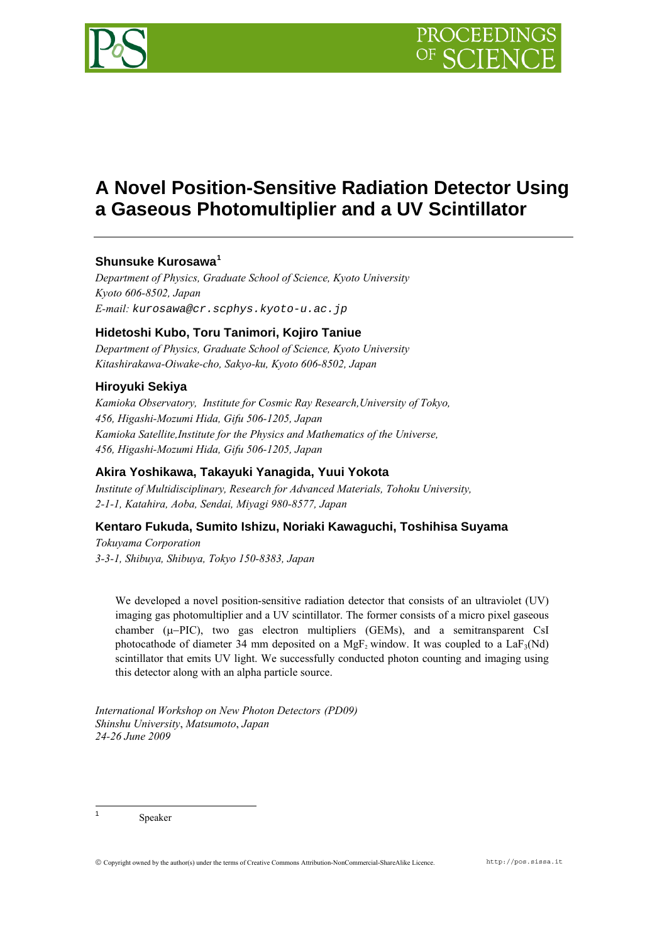

# **A Novel Position-Sensitive Radiation Detector Using a Gaseous Photomultiplier and a UV Scintillator**

# **Shunsuke Kurosawa[1](#page-0-0)**

*Department of Physics, Graduate School of Science, Kyoto University Kyoto 606-8502, Japan E-mail: kurosawa@cr.scphys.kyoto-u.ac.jp* 

## **Hidetoshi Kubo, Toru Tanimori, Kojiro Taniue**

*Department of Physics, Graduate School of Science, Kyoto University Kitashirakawa-Oiwake-cho, Sakyo-ku, Kyoto 606-8502, Japan* 

## **Hiroyuki Sekiya**

*Kamioka Observatory, Institute for Cosmic Ray Research,University of Tokyo, 456, Higashi-Mozumi Hida, Gifu 506-1205, Japan Kamioka Satellite,Institute for the Physics and Mathematics of the Universe, 456, Higashi-Mozumi Hida, Gifu 506-1205, Japan* 

## **Akira Yoshikawa, Takayuki Yanagida, Yuui Yokota**

*Institute of Multidisciplinary, Research for Advanced Materials, Tohoku University, 2-1-1, Katahira, Aoba, Sendai, Miyagi 980-8577, Japan* 

## **Kentaro Fukuda, Sumito Ishizu, Noriaki Kawaguchi, Toshihisa Suyama**

*Tokuyama Corporation 3-3-1, Shibuya, Shibuya, Tokyo 150-8383, Japan* 

We developed a novel position-sensitive radiation detector that consists of an ultraviolet (UV) imaging gas photomultiplier and a UV scintillator. The former consists of a micro pixel gaseous chamber  $(\mu - PIC)$ , two gas electron multipliers (GEMs), and a semitransparent CsI photocathode of diameter 34 mm deposited on a MgF<sub>2</sub> window. It was coupled to a LaF<sub>3</sub>(Nd) scintillator that emits UV light. We successfully conducted photon counting and imaging using this detector along with an alpha particle source.

*International Workshop on New Photon Detectors (PD09) Shinshu University*, *Matsumoto*, *Japan 24-26 June 2009* 

<span id="page-0-0"></span> $\frac{1}{1}$ Speaker

Copyright owned by the author(s) under the terms of Creative Commons Attribution-NonCommercial-ShareAlike Licence. http://pos.sissa.it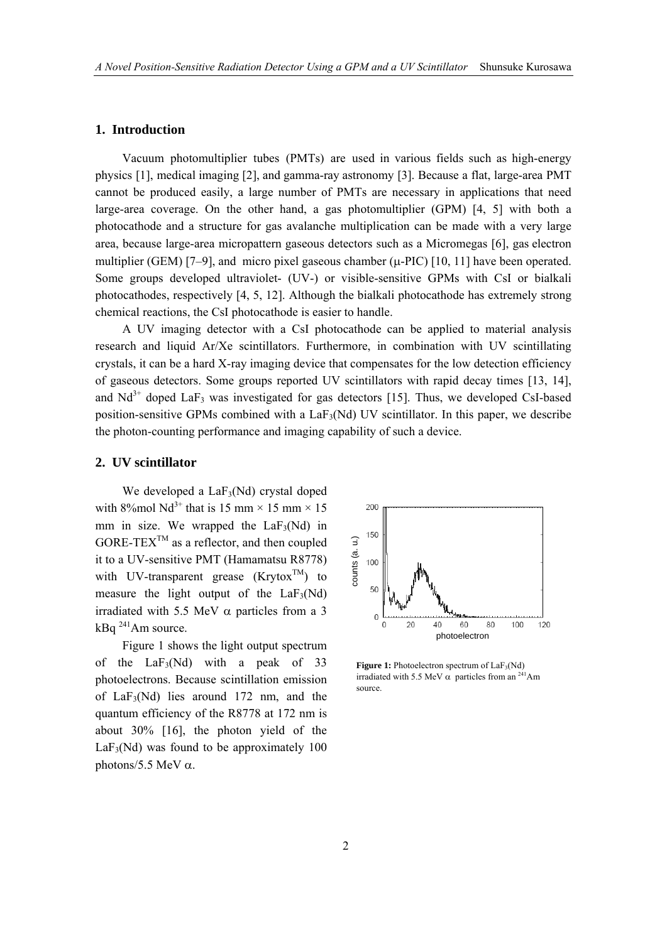## **1. Introduction**

Vacuum photomultiplier tubes (PMTs) are used in various fields such as high-energy physics [1], medical imaging [2], and gamma-ray astronomy [3]. Because a flat, large-area PMT cannot be produced easily, a large number of PMTs are necessary in applications that need large-area coverage. On the other hand, a gas photomultiplier (GPM) [4, 5] with both a photocathode and a structure for gas avalanche multiplication can be made with a very large area, because large-area micropattern gaseous detectors such as a Micromegas [6], gas electron multiplier (GEM)  $[7-9]$ , and micro pixel gaseous chamber ( $\mu$ -PIC)  $[10, 11]$  have been operated. Some groups developed ultraviolet- (UV-) or visible-sensitive GPMs with CsI or bialkali photocathodes, respectively [4, 5, 12]. Although the bialkali photocathode has extremely strong chemical reactions, the CsI photocathode is easier to handle.

A UV imaging detector with a CsI photocathode can be applied to material analysis research and liquid Ar/Xe scintillators. Furthermore, in combination with UV scintillating crystals, it can be a hard X-ray imaging device that compensates for the low detection efficiency of gaseous detectors. Some groups reported UV scintillators with rapid decay times [13, 14], and  $Nd^{3+}$  doped LaF<sub>3</sub> was investigated for gas detectors [15]. Thus, we developed CsI-based position-sensitive GPMs combined with a La $F_3(Nd)$  UV scintillator. In this paper, we describe the photon-counting performance and imaging capability of such a device.

#### **2. UV scintillator**

We developed a  $LaF<sub>3</sub>(Nd)$  crystal doped with 8%mol Nd<sup>3+</sup> that is 15 mm  $\times$  15 mm  $\times$  15 mm in size. We wrapped the  $LaF<sub>3</sub>(Nd)$  in  $GORE-TEX^{TM}$  as a reflector, and then coupled it to a UV-sensitive PMT (Hamamatsu R8778) with UV-transparent grease  $(Krytox^{TM})$  to measure the light output of the  $LaF<sub>3</sub>(Nd)$ irradiated with 5.5 MeV  $\alpha$  particles from a 3 GORE-TEX<sup>IM</sup> as a reflector, and then coupled<br>it to a UV-sensitive PMT (Hamamatsu R8778)  $\frac{d}{dS}$  100<br>with UV-transparent grease (Krytox<sup>TM</sup>) to<br>measure the light output of the LaF<sub>3</sub>(Nd)<br>irradiated with 5.5 MeV  $\alpha$  pa

Figure 1 shows the light output spectrum of the  $LaF_3(Nd)$  with a peak of 33 photoelectrons. Because scintillation emission of LaF<sub>3</sub>(Nd) lies around 172 nm, and the quantum efficiency of the R8778 at 172 nm is about 30% [16], the photon yield of the  $LaF<sub>3</sub>(Nd)$  was found to be approximately 100 photons/5.5 MeV  $\alpha$ .



**Figure 1:** Photoelectron spectrum of LaF<sub>3</sub>(Nd) irradiated with 5.5 MeV  $\alpha$  particles from an <sup>241</sup>Am source.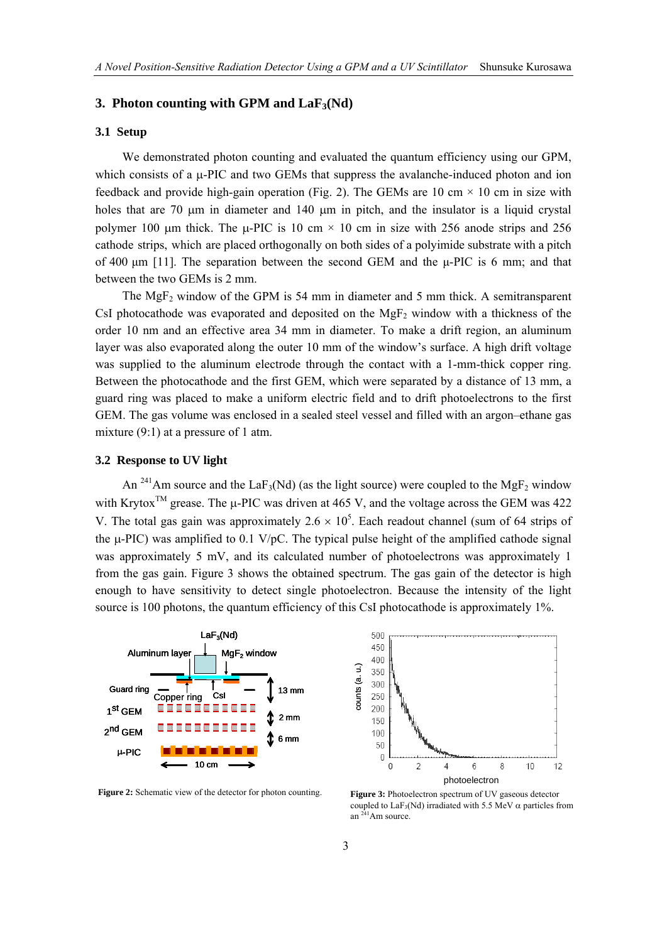### **3. Photon counting with GPM and LaF3(Nd)**

#### **3.1 Setup**

We demonstrated photon counting and evaluated the quantum efficiency using our GPM, which consists of a  $\mu$ -PIC and two GEMs that suppress the avalanche-induced photon and ion feedback and provide high-gain operation (Fig. 2). The GEMs are 10 cm  $\times$  10 cm in size with holes that are 70  $\mu$ m in diameter and 140  $\mu$ m in pitch, and the insulator is a liquid crystal polymer 100  $\mu$ m thick. The  $\mu$ -PIC is 10 cm × 10 cm in size with 256 anode strips and 256 cathode strips, which are placed orthogonally on both sides of a polyimide substrate with a pitch of 400 μm [11]. The separation between the second GEM and the μ-PIC is 6 mm; and that between the two GEMs is 2 mm.

The  $MgF_2$  window of the GPM is 54 mm in diameter and 5 mm thick. A semitransparent CsI photocathode was evaporated and deposited on the  $MgF<sub>2</sub>$  window with a thickness of the order 10 nm and an effective area 34 mm in diameter. To make a drift region, an aluminum layer was also evaporated along the outer 10 mm of the window's surface. A high drift voltage was supplied to the aluminum electrode through the contact with a 1-mm-thick copper ring. Between the photocathode and the first GEM, which were separated by a distance of 13 mm, a guard ring was placed to make a uniform electric field and to drift photoelectrons to the first GEM. The gas volume was enclosed in a sealed steel vessel and filled with an argon–ethane gas mixture  $(9:1)$  at a pressure of 1 atm.

## **3.2 Response to UV light**

An <sup>241</sup>Am source and the LaF<sub>3</sub>(Nd) (as the light source) were coupled to the MgF<sub>2</sub> window with Krytox<sup>TM</sup> grease. The  $\mu$ -PIC was driven at 465 V, and the voltage across the GEM was 422 V. The total gas gain was approximately  $2.6 \times 10^5$ . Each readout channel (sum of 64 strips of the  $\mu$ -PIC) was amplified to 0.1 V/pC. The typical pulse height of the amplified cathode signal was approximately 5 mV, and its calculated number of photoelectrons was approximately 1 from the gas gain. Figure 3 shows the obtained spectrum. The gas gain of the detector is high enough to have sensitivity to detect single photoelectron. Because the intensity of the light source is 100 photons, the quantum efficiency of this CsI photocathode is approximately 1%.



**Figure 2:** Schematic view of the detector for photon counting.



**Figure 3:** Photoelectron spectrum of UV gaseous detector coupled to  $LaF_3(Nd)$  irradiated with 5.5 MeV  $\alpha$  particles from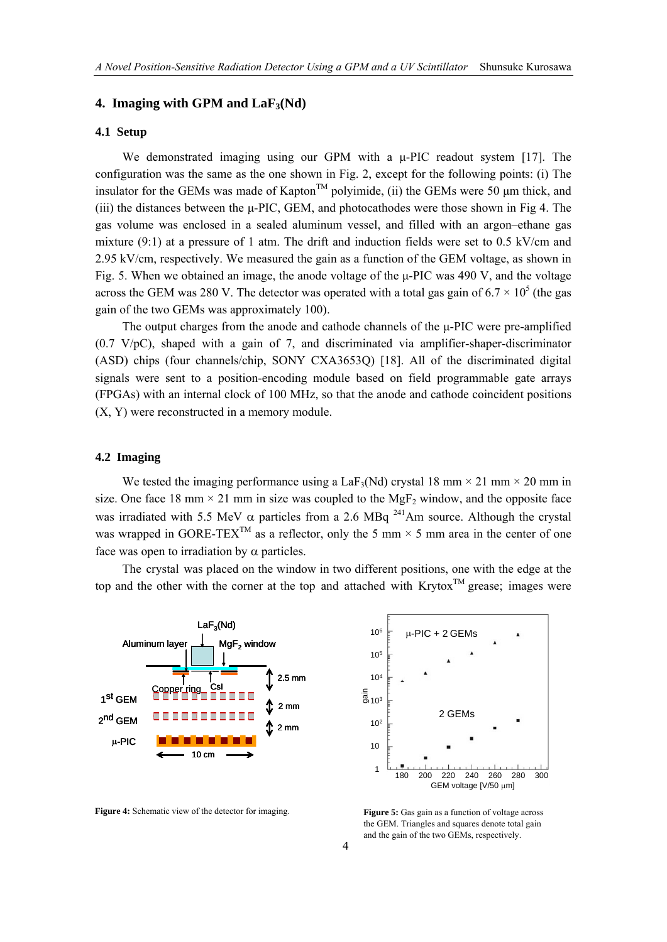### **4. Imaging with GPM and LaF3(Nd)**

### **4.1 Setup**

We demonstrated imaging using our GPM with a μ-PIC readout system [17]. The configuration was the same as the one shown in Fig. 2, except for the following points: (i) The insulator for the GEMs was made of Kapton<sup>TM</sup> polyimide, (ii) the GEMs were 50 um thick, and (iii) the distances between the μ-PIC, GEM, and photocathodes were those shown in Fig 4. The gas volume was enclosed in a sealed aluminum vessel, and filled with an argon–ethane gas mixture  $(9:1)$  at a pressure of 1 atm. The drift and induction fields were set to 0.5 kV/cm and 2.95 kV/cm, respectively. We measured the gain as a function of the GEM voltage, as shown in Fig. 5. When we obtained an image, the anode voltage of the μ-PIC was 490 V, and the voltage across the GEM was 280 V. The detector was operated with a total gas gain of  $6.7 \times 10^5$  (the gas gain of the two GEMs was approximately 100).

The output charges from the anode and cathode channels of the μ-PIC were pre-amplified (0.7 V/pC), shaped with a gain of 7, and discriminated via amplifier-shaper-discriminator (ASD) chips (four channels/chip, SONY CXA3653Q) [18]. All of the discriminated digital signals were sent to a position-encoding module based on field programmable gate arrays (FPGAs) with an internal clock of 100 MHz, so that the anode and cathode coincident positions (X, Y) were reconstructed in a memory module.

#### **4.2 Imaging**

We tested the imaging performance using a LaF<sub>3</sub>(Nd) crystal 18 mm  $\times$  21 mm  $\times$  20 mm in size. One face 18 mm  $\times$  21 mm in size was coupled to the MgF<sub>2</sub> window, and the opposite face was irradiated with 5.5 MeV  $\alpha$  particles from a 2.6 MBq <sup>241</sup>Am source. Although the crystal was wrapped in GORE-TEX<sup>TM</sup> as a reflector, only the 5 mm  $\times$  5 mm area in the center of one face was open to irradiation by  $\alpha$  particles.

The crystal was placed on the window in two different positions, one with the edge at the top and the other with the corner at the top and attached with Krytox<sup>TM</sup> grease; images were



**Figure 4:** Schematic view of the detector for imaging. **Figure 5:** Gas gain as a function of voltage across



the GEM. Triangles and squares denote total gain and the gain of the two GEMs, respectively.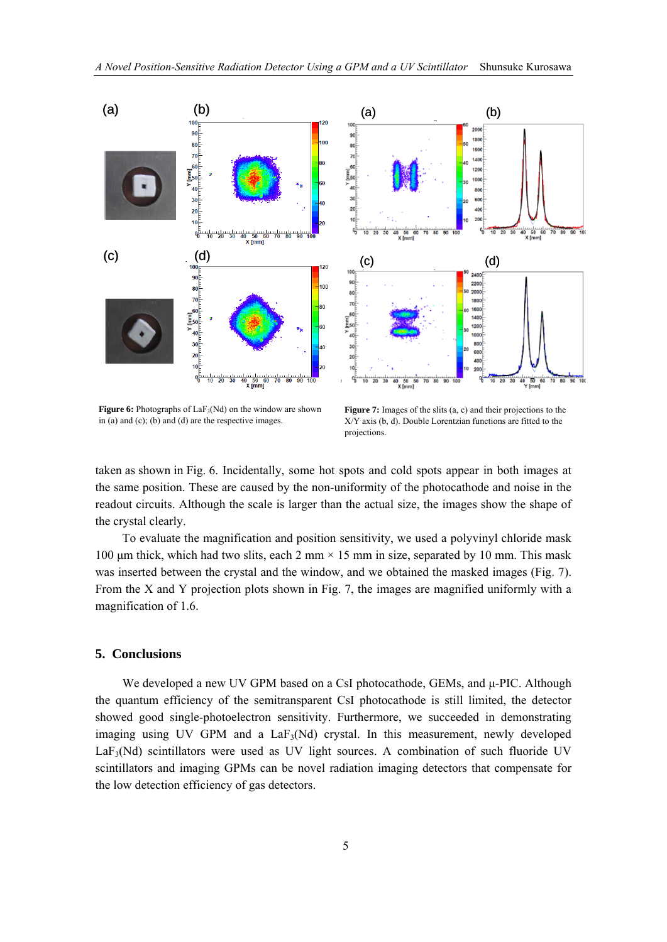

**Figure 6:** Photographs of LaF<sub>3</sub>(Nd) on the window are shown in (a) and (c); (b) and (d) are the respective images.

**Figure 7:** Images of the slits (a, c) and their projections to the X/Y axis (b, d). Double Lorentzian functions are fitted to the projections.

taken as shown in Fig. 6. Incidentally, some hot spots and cold spots appear in both images at the same position. These are caused by the non-uniformity of the photocathode and noise in the readout circuits. Although the scale is larger than the actual size, the images show the shape of the crystal clearly.

To evaluate the magnification and position sensitivity, we used a polyvinyl chloride mask 100 μm thick, which had two slits, each 2 mm  $\times$  15 mm in size, separated by 10 mm. This mask was inserted between the crystal and the window, and we obtained the masked images (Fig. 7). From the X and Y projection plots shown in Fig. 7, the images are magnified uniformly with a magnification of 1.6.

## **5. Conclusions**

We developed a new UV GPM based on a CsI photocathode, GEMs, and μ-PIC. Although the quantum efficiency of the semitransparent CsI photocathode is still limited, the detector showed good single-photoelectron sensitivity. Furthermore, we succeeded in demonstrating imaging using UV GPM and a  $\text{LaF}_3(Nd)$  crystal. In this measurement, newly developed  $LaF<sub>3</sub>(Nd)$  scintillators were used as UV light sources. A combination of such fluoride UV scintillators and imaging GPMs can be novel radiation imaging detectors that compensate for the low detection efficiency of gas detectors.